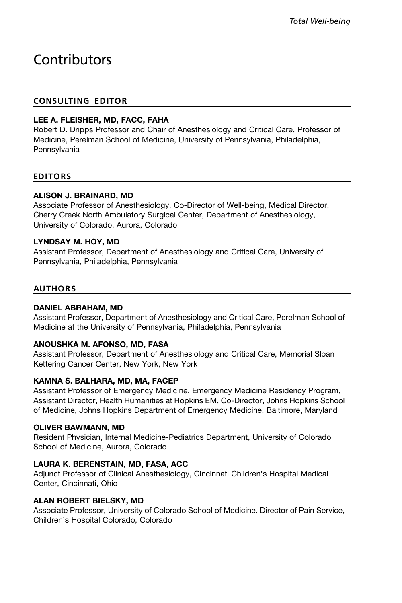# **Contributors**

### CONSULTING EDITOR

### LEE A. FLEISHER, MD, FACC, FAHA

Robert D. Dripps Professor and Chair of Anesthesiology and Critical Care, Professor of Medicine, Perelman School of Medicine, University of Pennsylvania, Philadelphia, **Pennsylvania** 

### EDITORS

### ALISON J. BRAINARD, MD

Associate Professor of Anesthesiology, Co-Director of Well-being, Medical Director, Cherry Creek North Ambulatory Surgical Center, Department of Anesthesiology, University of Colorado, Aurora, Colorado

### LYNDSAY M. HOY, MD

Assistant Professor, Department of Anesthesiology and Critical Care, University of Pennsylvania, Philadelphia, Pennsylvania

### AUTHORS

### DANIEL ABRAHAM, MD

Assistant Professor, Department of Anesthesiology and Critical Care, Perelman School of Medicine at the University of Pennsylvania, Philadelphia, Pennsylvania

### ANOUSHKA M. AFONSO, MD, FASA

Assistant Professor, Department of Anesthesiology and Critical Care, Memorial Sloan Kettering Cancer Center, New York, New York

### KAMNA S. BALHARA, MD, MA, FACEP

Assistant Professor of Emergency Medicine, Emergency Medicine Residency Program, Assistant Director, Health Humanities at Hopkins EM, Co-Director, Johns Hopkins School of Medicine, Johns Hopkins Department of Emergency Medicine, Baltimore, Maryland

### OLIVER BAWMANN, MD

Resident Physician, Internal Medicine-Pediatrics Department, University of Colorado School of Medicine, Aurora, Colorado

### LAURA K. BERENSTAIN, MD, FASA, ACC

Adjunct Professor of Clinical Anesthesiology, Cincinnati Children's Hospital Medical Center, Cincinnati, Ohio

### ALAN ROBERT BIELSKY, MD

Associate Professor, University of Colorado School of Medicine. Director of Pain Service, Children's Hospital Colorado, Colorado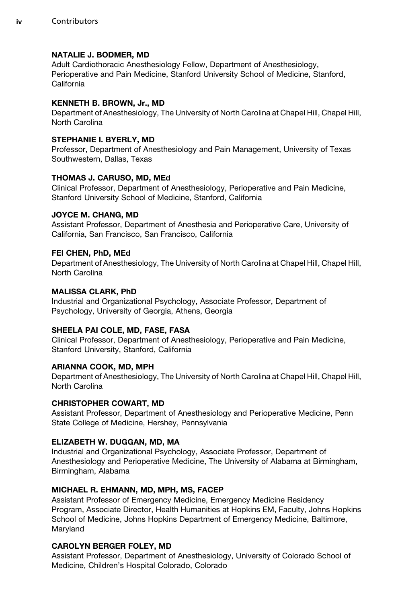### NATALIE J. BODMER, MD

Adult Cardiothoracic Anesthesiology Fellow, Department of Anesthesiology, Perioperative and Pain Medicine, Stanford University School of Medicine, Stanford, California

### KENNETH B. BROWN, Jr., MD

Department of Anesthesiology, The University of North Carolina at Chapel Hill, Chapel Hill, North Carolina

### STEPHANIE I. BYERLY, MD

Professor, Department of Anesthesiology and Pain Management, University of Texas Southwestern, Dallas, Texas

### THOMAS J. CARUSO, MD, MEd

Clinical Professor, Department of Anesthesiology, Perioperative and Pain Medicine, Stanford University School of Medicine, Stanford, California

### JOYCE M. CHANG, MD

Assistant Professor, Department of Anesthesia and Perioperative Care, University of California, San Francisco, San Francisco, California

### FEI CHEN, PhD, MEd

Department of Anesthesiology, The University of North Carolina at Chapel Hill, Chapel Hill, North Carolina

### MALISSA CLARK, PhD

Industrial and Organizational Psychology, Associate Professor, Department of Psychology, University of Georgia, Athens, Georgia

### SHEELA PAI COLE, MD, FASE, FASA

Clinical Professor, Department of Anesthesiology, Perioperative and Pain Medicine, Stanford University, Stanford, California

### ARIANNA COOK, MD, MPH

Department of Anesthesiology, The University of North Carolina at Chapel Hill, Chapel Hill, North Carolina

### CHRISTOPHER COWART, MD

Assistant Professor, Department of Anesthesiology and Perioperative Medicine, Penn State College of Medicine, Hershey, Pennsylvania

### ELIZABETH W. DUGGAN, MD, MA

Industrial and Organizational Psychology, Associate Professor, Department of Anesthesiology and Perioperative Medicine, The University of Alabama at Birmingham, Birmingham, Alabama

### MICHAEL R. EHMANN, MD, MPH, MS, FACEP

Assistant Professor of Emergency Medicine, Emergency Medicine Residency Program, Associate Director, Health Humanities at Hopkins EM, Faculty, Johns Hopkins School of Medicine, Johns Hopkins Department of Emergency Medicine, Baltimore, Maryland

### CAROLYN BERGER FOLEY, MD

Assistant Professor, Department of Anesthesiology, University of Colorado School of Medicine, Children's Hospital Colorado, Colorado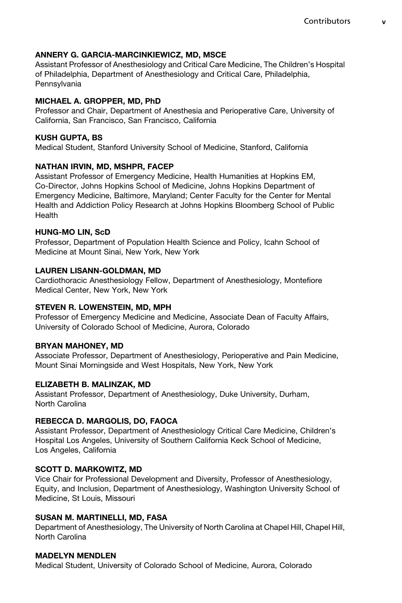### ANNERY G. GARCIA-MARCINKIEWICZ, MD, MSCE

Assistant Professor of Anesthesiology and Critical Care Medicine, The Children's Hospital of Philadelphia, Department of Anesthesiology and Critical Care, Philadelphia, Pennsylvania

### MICHAEL A. GROPPER, MD, PhD

Professor and Chair, Department of Anesthesia and Perioperative Care, University of California, San Francisco, San Francisco, California

### KUSH GUPTA, BS

Medical Student, Stanford University School of Medicine, Stanford, California

# NATHAN IRVIN, MD, MSHPR, FACEP

Assistant Professor of Emergency Medicine, Health Humanities at Hopkins EM, Co-Director, Johns Hopkins School of Medicine, Johns Hopkins Department of Emergency Medicine, Baltimore, Maryland; Center Faculty for the Center for Mental Health and Addiction Policy Research at Johns Hopkins Bloomberg School of Public Health

### HUNG-MO LIN, ScD

Professor, Department of Population Health Science and Policy, Icahn School of Medicine at Mount Sinai, New York, New York

# LAUREN LISANN-GOLDMAN, MD

Cardiothoracic Anesthesiology Fellow, Department of Anesthesiology, Montefiore Medical Center, New York, New York

### STEVEN R. LOWENSTEIN, MD, MPH

Professor of Emergency Medicine and Medicine, Associate Dean of Faculty Affairs, University of Colorado School of Medicine, Aurora, Colorado

### BRYAN MAHONEY, MD

Associate Professor, Department of Anesthesiology, Perioperative and Pain Medicine, Mount Sinai Morningside and West Hospitals, New York, New York

# ELIZABETH B. MALINZAK, MD

Assistant Professor, Department of Anesthesiology, Duke University, Durham, North Carolina

# REBECCA D. MARGOLIS, DO, FAOCA

Assistant Professor, Department of Anesthesiology Critical Care Medicine, Children's Hospital Los Angeles, University of Southern California Keck School of Medicine, Los Angeles, California

# SCOTT D. MARKOWITZ, MD

Vice Chair for Professional Development and Diversity, Professor of Anesthesiology, Equity, and Inclusion, Department of Anesthesiology, Washington University School of Medicine, St Louis, Missouri

# SUSAN M. MARTINELLI, MD, FASA

Department of Anesthesiology, The University of North Carolina at Chapel Hill, Chapel Hill, North Carolina

### MADELYN MENDLEN

Medical Student, University of Colorado School of Medicine, Aurora, Colorado